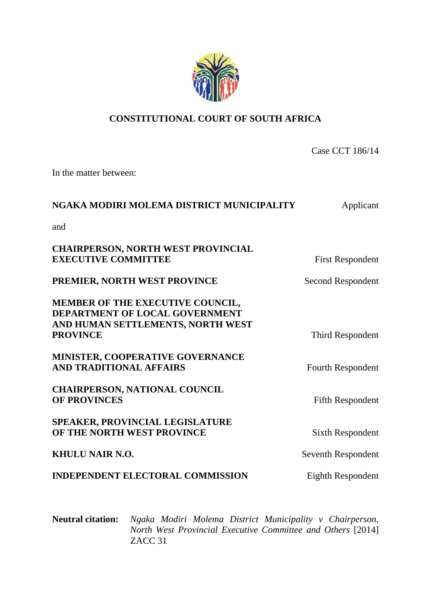

## **CONSTITUTIONAL COURT OF SOUTH AFRICA**

Case CCT 186/14

In the matter between:

# **NGAKA MODIRI MOLEMA DISTRICT MUNICIPALITY** Applicant

and

| <b>CHAIRPERSON, NORTH WEST PROVINCIAL</b><br><b>EXECUTIVE COMMITTEE</b>                                                           | <b>First Respondent</b>  |
|-----------------------------------------------------------------------------------------------------------------------------------|--------------------------|
| PREMIER, NORTH WEST PROVINCE                                                                                                      | Second Respondent        |
| MEMBER OF THE EXECUTIVE COUNCIL,<br><b>DEPARTMENT OF LOCAL GOVERNMENT</b><br>AND HUMAN SETTLEMENTS, NORTH WEST<br><b>PROVINCE</b> | Third Respondent         |
| MINISTER, COOPERATIVE GOVERNANCE<br><b>AND TRADITIONAL AFFAIRS</b>                                                                | <b>Fourth Respondent</b> |
| <b>CHAIRPERSON, NATIONAL COUNCIL</b><br><b>OF PROVINCES</b>                                                                       | <b>Fifth Respondent</b>  |
| <b>SPEAKER, PROVINCIAL LEGISLATURE</b><br>OF THE NORTH WEST PROVINCE                                                              | Sixth Respondent         |
| <b>KHULU NAIR N.O.</b>                                                                                                            | Seventh Respondent       |
| <b>INDEPENDENT ELECTORAL COMMISSION</b>                                                                                           | Eighth Respondent        |

**Neutral citation:** *Ngaka Modiri Molema District Municipality v Chairperson, North West Provincial Executive Committee and Others* [2014] ZACC 31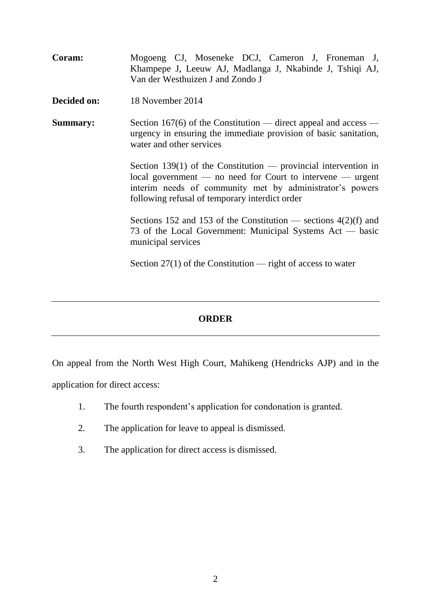| Coram:          | Mogoeng CJ, Moseneke DCJ, Cameron J, Froneman J,<br>Khampepe J, Leeuw AJ, Madlanga J, Nkabinde J, Tshiqi AJ,<br>Van der Westhuizen J and Zondo J                                                                                            |
|-----------------|---------------------------------------------------------------------------------------------------------------------------------------------------------------------------------------------------------------------------------------------|
| Decided on:     | 18 November 2014                                                                                                                                                                                                                            |
| <b>Summary:</b> | Section 167(6) of the Constitution — direct appeal and access —<br>urgency in ensuring the immediate provision of basic sanitation,<br>water and other services                                                                             |
|                 | Section 139(1) of the Constitution — provincial intervention in<br>$local government$ no need for Court to intervene — urgent<br>interim needs of community met by administrator's powers<br>following refusal of temporary interdict order |
|                 | Sections 152 and 153 of the Constitution — sections $4(2)(f)$ and<br>73 of the Local Government: Municipal Systems Act — basic<br>municipal services                                                                                        |
|                 | Section $27(1)$ of the Constitution — right of access to water                                                                                                                                                                              |

## **ORDER**

On appeal from the North West High Court, Mahikeng (Hendricks AJP) and in the application for direct access:

- 1. The fourth respondent's application for condonation is granted.
- 2. The application for leave to appeal is dismissed.
- 3. The application for direct access is dismissed.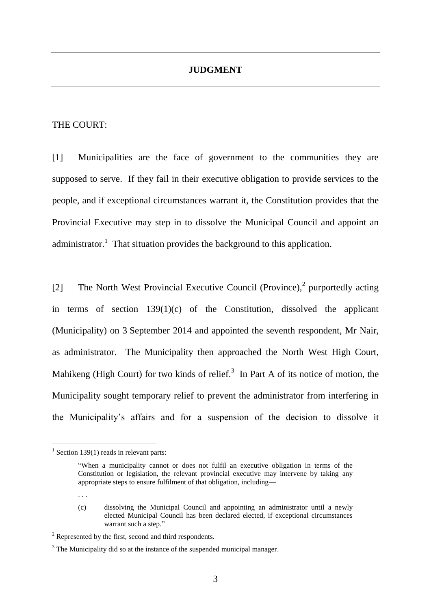### **JUDGMENT**

#### THE COURT:

[1] Municipalities are the face of government to the communities they are supposed to serve. If they fail in their executive obligation to provide services to the people, and if exceptional circumstances warrant it, the Constitution provides that the Provincial Executive may step in to dissolve the Municipal Council and appoint an administrator.<sup>1</sup> That situation provides the background to this application.

[2] The North West Provincial Executive Council (Province), 2 purportedly acting in terms of section  $139(1)(c)$  of the Constitution, dissolved the applicant (Municipality) on 3 September 2014 and appointed the seventh respondent, Mr Nair, as administrator. The Municipality then approached the North West High Court, Mahikeng (High Court) for two kinds of relief.<sup>3</sup> In Part A of its notice of motion, the Municipality sought temporary relief to prevent the administrator from interfering in the Municipality's affairs and for a suspension of the decision to dissolve it

. . .

 $1$  Section 139(1) reads in relevant parts:

<sup>&</sup>quot;When a municipality cannot or does not fulfil an executive obligation in terms of the Constitution or legislation, the relevant provincial executive may intervene by taking any appropriate steps to ensure fulfilment of that obligation, including—

<sup>(</sup>c) dissolving the Municipal Council and appointing an administrator until a newly elected Municipal Council has been declared elected, if exceptional circumstances warrant such a step."

<sup>2</sup> Represented by the first, second and third respondents.

 $3$  The Municipality did so at the instance of the suspended municipal manager.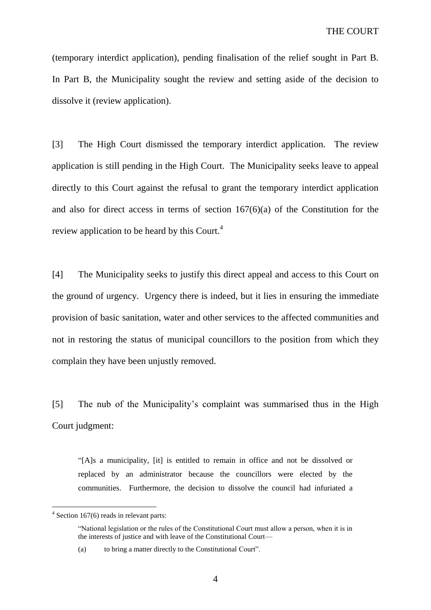(temporary interdict application), pending finalisation of the relief sought in Part B. In Part B, the Municipality sought the review and setting aside of the decision to dissolve it (review application).

[3] The High Court dismissed the temporary interdict application. The review application is still pending in the High Court. The Municipality seeks leave to appeal directly to this Court against the refusal to grant the temporary interdict application and also for direct access in terms of section 167(6)(a) of the Constitution for the review application to be heard by this Court.<sup>4</sup>

[4] The Municipality seeks to justify this direct appeal and access to this Court on the ground of urgency. Urgency there is indeed, but it lies in ensuring the immediate provision of basic sanitation, water and other services to the affected communities and not in restoring the status of municipal councillors to the position from which they complain they have been unjustly removed.

[5] The nub of the Municipality's complaint was summarised thus in the High Court judgment:

"[A]s a municipality, [it] is entitled to remain in office and not be dissolved or replaced by an administrator because the councillors were elected by the communities. Furthermore, the decision to dissolve the council had infuriated a

<sup>&</sup>lt;sup>4</sup> Section 167(6) reads in relevant parts:

<sup>&</sup>quot;National legislation or the rules of the Constitutional Court must allow a person, when it is in the interests of justice and with leave of the Constitutional Court—

<sup>(</sup>a) to bring a matter directly to the Constitutional Court".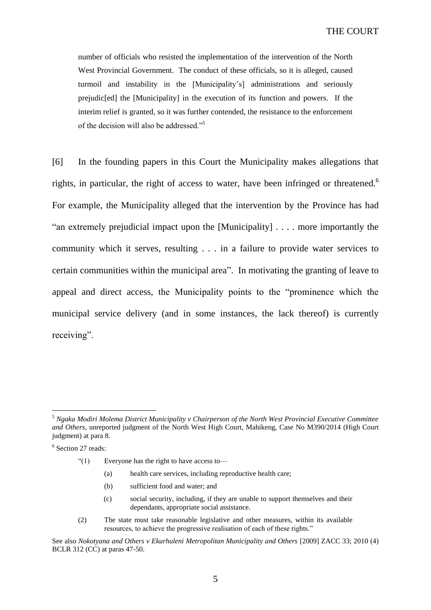number of officials who resisted the implementation of the intervention of the North West Provincial Government. The conduct of these officials, so it is alleged, caused turmoil and instability in the [Municipality's] administrations and seriously prejudic[ed] the [Municipality] in the execution of its function and powers. If the interim relief is granted, so it was further contended, the resistance to the enforcement of the decision will also be addressed."<sup>5</sup>

[6] In the founding papers in this Court the Municipality makes allegations that rights, in particular, the right of access to water, have been infringed or threatened.<sup>6</sup> For example, the Municipality alleged that the intervention by the Province has had "an extremely prejudicial impact upon the [Municipality] . . . . more importantly the community which it serves, resulting . . . in a failure to provide water services to certain communities within the municipal area". In motivating the granting of leave to appeal and direct access, the Municipality points to the "prominence which the municipal service delivery (and in some instances, the lack thereof) is currently receiving".

 $\overline{a}$ 

"(1) Everyone has the right to have access to—

- (a) health care services, including reproductive health care;
- (b) sufficient food and water; and
- (c) social security, including, if they are unable to support themselves and their dependants, appropriate social assistance.
- (2) The state must take reasonable legislative and other measures, within its available resources, to achieve the progressive realisation of each of these rights."

<sup>5</sup> *Ngaka Modiri Molema District Municipality v Chairperson of the North West Provincial Executive Committee and Others*, unreported judgment of the North West High Court, Mahikeng, Case No M390/2014 (High Court judgment) at para 8.

<sup>6</sup> Section 27 reads:

See also *Nokotyana and Others v Ekurhuleni Metropolitan Municipality and Others* [2009] ZACC 33; 2010 (4) BCLR 312 (CC) at paras 47-50.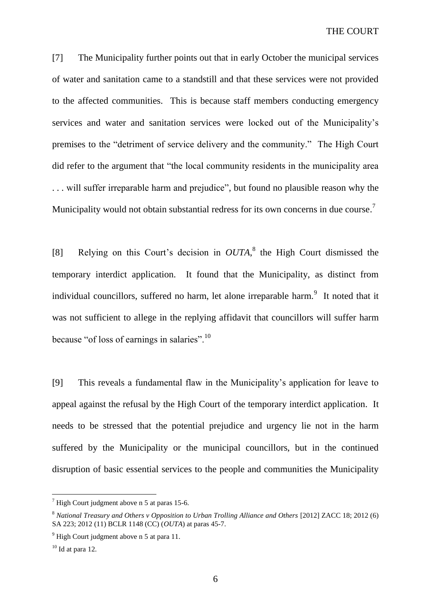[7] The Municipality further points out that in early October the municipal services of water and sanitation came to a standstill and that these services were not provided to the affected communities. This is because staff members conducting emergency services and water and sanitation services were locked out of the Municipality's premises to the "detriment of service delivery and the community." The High Court did refer to the argument that "the local community residents in the municipality area . . . will suffer irreparable harm and prejudice", but found no plausible reason why the Municipality would not obtain substantial redress for its own concerns in due course.<sup>7</sup>

[8] Relying on this Court's decision in *OUTA*, 8 the High Court dismissed the temporary interdict application. It found that the Municipality, as distinct from individual councillors, suffered no harm, let alone irreparable harm.<sup>9</sup> It noted that it was not sufficient to allege in the replying affidavit that councillors will suffer harm because "of loss of earnings in salaries".<sup>10</sup>

[9] This reveals a fundamental flaw in the Municipality's application for leave to appeal against the refusal by the High Court of the temporary interdict application. It needs to be stressed that the potential prejudice and urgency lie not in the harm suffered by the Municipality or the municipal councillors, but in the continued disruption of basic essential services to the people and communities the Municipality

 $<sup>7</sup>$  High Court judgment above n 5 at paras 15-6.</sup>

<sup>8</sup> *National Treasury and Others v Opposition to Urban Trolling Alliance and Others* [2012] ZACC 18; 2012 (6) SA 223; 2012 (11) BCLR 1148 (CC) (*OUTA*) at paras 45-7.

 $9$  High Court judgment above n 5 at para 11.

 $10$  Id at para 12.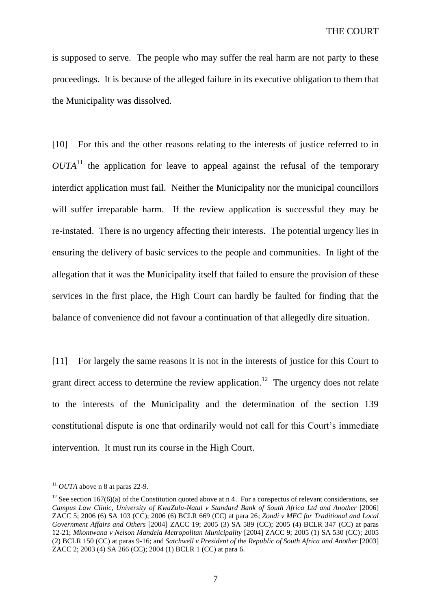is supposed to serve. The people who may suffer the real harm are not party to these proceedings. It is because of the alleged failure in its executive obligation to them that the Municipality was dissolved.

[10] For this and the other reasons relating to the interests of justice referred to in  $OUTA<sup>11</sup>$  the application for leave to appeal against the refusal of the temporary interdict application must fail. Neither the Municipality nor the municipal councillors will suffer irreparable harm. If the review application is successful they may be re-instated. There is no urgency affecting their interests. The potential urgency lies in ensuring the delivery of basic services to the people and communities. In light of the allegation that it was the Municipality itself that failed to ensure the provision of these services in the first place, the High Court can hardly be faulted for finding that the balance of convenience did not favour a continuation of that allegedly dire situation.

[11] For largely the same reasons it is not in the interests of justice for this Court to grant direct access to determine the review application.<sup>12</sup> The urgency does not relate to the interests of the Municipality and the determination of the section 139 constitutional dispute is one that ordinarily would not call for this Court's immediate intervention. It must run its course in the High Court.

 $11$  *OUTA* above n 8 at paras 22-9.

<sup>&</sup>lt;sup>12</sup> See section 167(6)(a) of the Constitution quoted above at n 4. For a conspectus of relevant considerations, see *Campus Law Clinic, University of KwaZulu-Natal v Standard Bank of South Africa Ltd and Another* [2006] ZACC 5; 2006 (6) SA 103 (CC); 2006 (6) BCLR 669 (CC) at para 26; *Zondi v MEC for Traditional and Local Government Affairs and Others* [2004] ZACC 19; 2005 (3) SA 589 (CC); 2005 (4) BCLR 347 (CC) at paras 12-21; *Mkontwana v Nelson Mandela Metropolitan Municipality* [2004] ZACC 9; 2005 (1) SA 530 (CC); 2005 (2) BCLR 150 (CC) at paras 9-16; and *Satchwell v President of the Republic of South Africa and Another* [2003] ZACC 2; 2003 (4) SA 266 (CC); 2004 (1) BCLR 1 (CC) at para 6.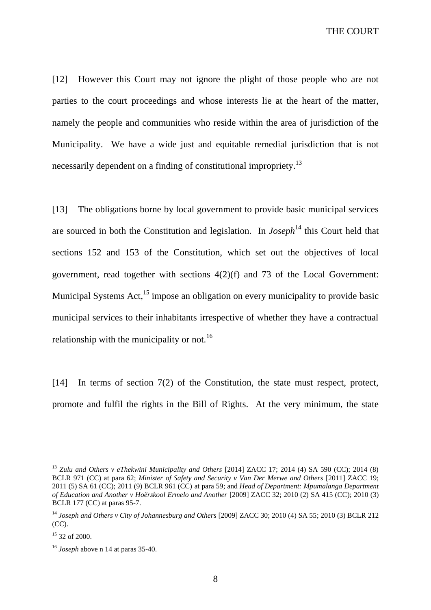THE COURT

[12] However this Court may not ignore the plight of those people who are not parties to the court proceedings and whose interests lie at the heart of the matter, namely the people and communities who reside within the area of jurisdiction of the Municipality. We have a wide just and equitable remedial jurisdiction that is not necessarily dependent on a finding of constitutional impropriety.<sup>13</sup>

[13] The obligations borne by local government to provide basic municipal services are sourced in both the Constitution and legislation. In *Joseph*<sup>14</sup> this Court held that sections 152 and 153 of the Constitution, which set out the objectives of local government, read together with sections 4(2)(f) and 73 of the Local Government: Municipal Systems Act,<sup>15</sup> impose an obligation on every municipality to provide basic municipal services to their inhabitants irrespective of whether they have a contractual relationship with the municipality or not.<sup>16</sup>

[14] In terms of section 7(2) of the Constitution, the state must respect, protect, promote and fulfil the rights in the Bill of Rights. At the very minimum, the state

<sup>13</sup> *Zulu and Others v eThekwini Municipality and Others* [2014] ZACC 17; 2014 (4) SA 590 (CC); 2014 (8) BCLR 971 (CC) at para 62; *Minister of Safety and Security v Van Der Merwe and Others* [2011] ZACC 19; 2011 (5) SA 61 (CC); 2011 (9) BCLR 961 (CC) at para 59; and *Head of Department: Mpumalanga Department of Education and Another v Hoërskool Ermelo and Another* [2009] ZACC 32; 2010 (2) SA 415 (CC); 2010 (3) BCLR 177 (CC) at paras 95-7.

<sup>14</sup> *Joseph and Others v City of Johannesburg and Others* [2009] ZACC 30; 2010 (4) SA 55; 2010 (3) BCLR 212 (CC).

<sup>&</sup>lt;sup>15</sup> 32 of 2000.

<sup>16</sup> *Joseph* above n 14 at paras 35-40.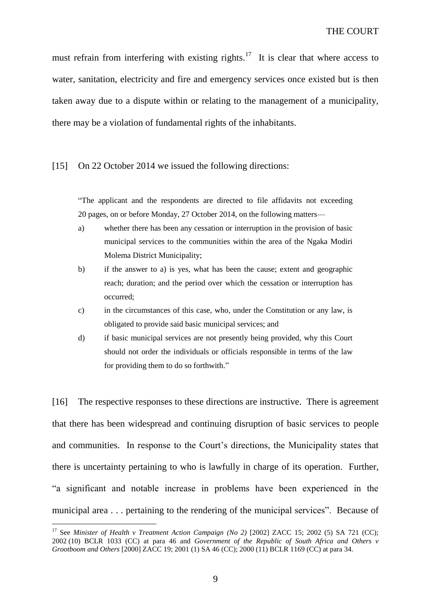must refrain from interfering with existing rights.<sup>17</sup> It is clear that where access to water, sanitation, electricity and fire and emergency services once existed but is then taken away due to a dispute within or relating to the management of a municipality, there may be a violation of fundamental rights of the inhabitants.

#### [15] On 22 October 2014 we issued the following directions:

"The applicant and the respondents are directed to file affidavits not exceeding 20 pages, on or before Monday, 27 October 2014, on the following matters—

- a) whether there has been any cessation or interruption in the provision of basic municipal services to the communities within the area of the Ngaka Modiri Molema District Municipality;
- b) if the answer to a) is yes, what has been the cause; extent and geographic reach; duration; and the period over which the cessation or interruption has occurred;
- c) in the circumstances of this case, who, under the Constitution or any law, is obligated to provide said basic municipal services; and
- d) if basic municipal services are not presently being provided, why this Court should not order the individuals or officials responsible in terms of the law for providing them to do so forthwith."

[16] The respective responses to these directions are instructive. There is agreement that there has been widespread and continuing disruption of basic services to people and communities. In response to the Court's directions, the Municipality states that there is uncertainty pertaining to who is lawfully in charge of its operation. Further, "a significant and notable increase in problems have been experienced in the municipal area . . . pertaining to the rendering of the municipal services". Because of

<sup>&</sup>lt;sup>17</sup> See *Minister of Health v Treatment Action Campaign (No 2)* [2002] ZACC 15; 2002 (5) SA 721 (CC); 2002 (10) BCLR 1033 (CC) at para 46 and *Government of the Republic of South Africa and Others v Grootboom and Others* [2000] ZACC 19; 2001 (1) SA 46 (CC); 2000 (11) BCLR 1169 (CC) at para 34.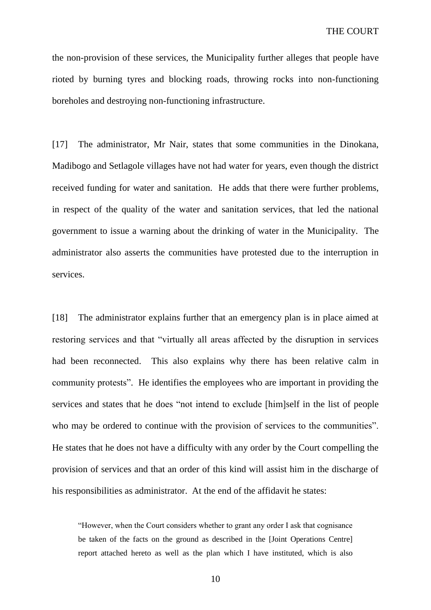the non-provision of these services, the Municipality further alleges that people have rioted by burning tyres and blocking roads, throwing rocks into non-functioning boreholes and destroying non-functioning infrastructure.

[17] The administrator, Mr Nair, states that some communities in the Dinokana, Madibogo and Setlagole villages have not had water for years, even though the district received funding for water and sanitation. He adds that there were further problems, in respect of the quality of the water and sanitation services, that led the national government to issue a warning about the drinking of water in the Municipality. The administrator also asserts the communities have protested due to the interruption in services.

[18] The administrator explains further that an emergency plan is in place aimed at restoring services and that "virtually all areas affected by the disruption in services had been reconnected. This also explains why there has been relative calm in community protests". He identifies the employees who are important in providing the services and states that he does "not intend to exclude [him]self in the list of people who may be ordered to continue with the provision of services to the communities". He states that he does not have a difficulty with any order by the Court compelling the provision of services and that an order of this kind will assist him in the discharge of his responsibilities as administrator. At the end of the affidavit he states:

"However, when the Court considers whether to grant any order I ask that cognisance be taken of the facts on the ground as described in the [Joint Operations Centre] report attached hereto as well as the plan which I have instituted, which is also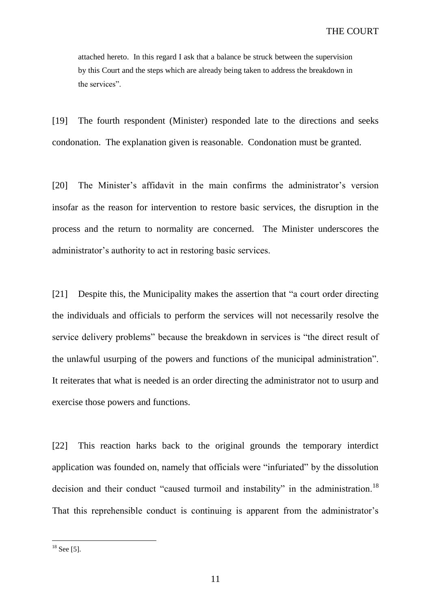attached hereto. In this regard I ask that a balance be struck between the supervision by this Court and the steps which are already being taken to address the breakdown in the services".

[19] The fourth respondent (Minister) responded late to the directions and seeks condonation. The explanation given is reasonable. Condonation must be granted.

[20] The Minister's affidavit in the main confirms the administrator's version insofar as the reason for intervention to restore basic services, the disruption in the process and the return to normality are concerned. The Minister underscores the administrator's authority to act in restoring basic services.

[21] Despite this, the Municipality makes the assertion that "a court order directing the individuals and officials to perform the services will not necessarily resolve the service delivery problems" because the breakdown in services is "the direct result of the unlawful usurping of the powers and functions of the municipal administration". It reiterates that what is needed is an order directing the administrator not to usurp and exercise those powers and functions.

[22] This reaction harks back to the original grounds the temporary interdict application was founded on, namely that officials were "infuriated" by the dissolution decision and their conduct "caused turmoil and instability" in the administration.<sup>18</sup> That this reprehensible conduct is continuing is apparent from the administrator's

 $18$  See [5].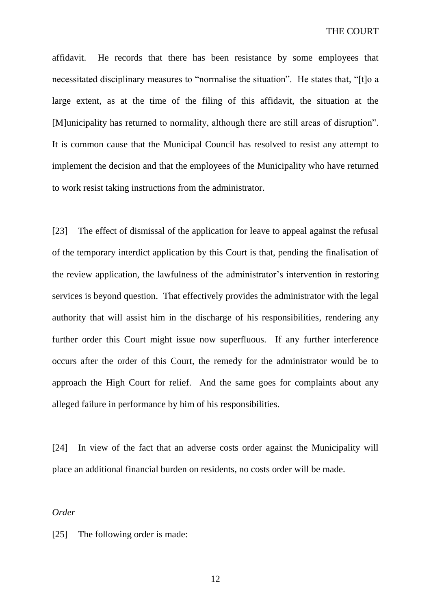affidavit. He records that there has been resistance by some employees that necessitated disciplinary measures to "normalise the situation". He states that, "[t]o a large extent, as at the time of the filing of this affidavit, the situation at the [M]unicipality has returned to normality, although there are still areas of disruption". It is common cause that the Municipal Council has resolved to resist any attempt to implement the decision and that the employees of the Municipality who have returned to work resist taking instructions from the administrator.

[23] The effect of dismissal of the application for leave to appeal against the refusal of the temporary interdict application by this Court is that, pending the finalisation of the review application, the lawfulness of the administrator's intervention in restoring services is beyond question. That effectively provides the administrator with the legal authority that will assist him in the discharge of his responsibilities, rendering any further order this Court might issue now superfluous. If any further interference occurs after the order of this Court, the remedy for the administrator would be to approach the High Court for relief. And the same goes for complaints about any alleged failure in performance by him of his responsibilities.

[24] In view of the fact that an adverse costs order against the Municipality will place an additional financial burden on residents, no costs order will be made.

### *Order*

[25] The following order is made:

12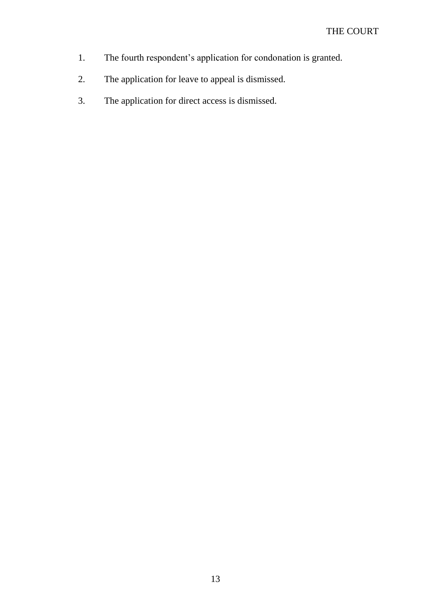- 1. The fourth respondent's application for condonation is granted.
- 2. The application for leave to appeal is dismissed.
- 3. The application for direct access is dismissed.